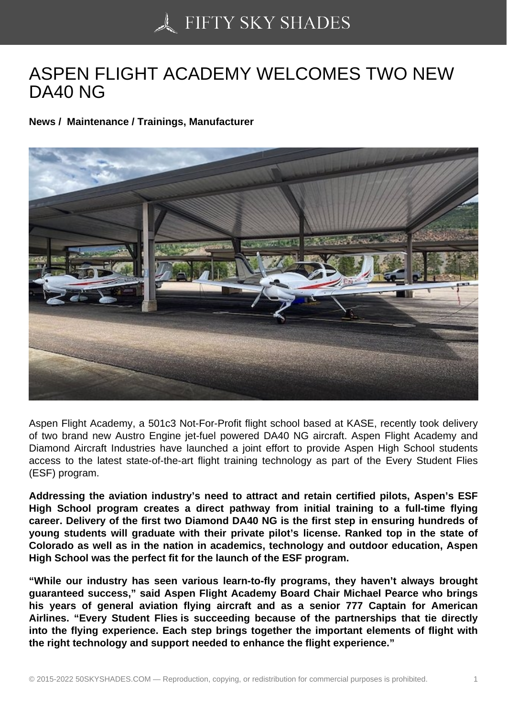## [ASPEN FLIGHT ACAD](https://50skyshades.com)EMY WELCOMES TWO NEW DA40 NG

News / Maintenance / Trainings, Manufacturer

Aspen Flight Academy, a 501c3 Not-For-Profit flight school based at KASE, recently took delivery of two brand new Austro Engine jet-fuel powered DA40 NG aircraft. Aspen Flight Academy and Diamond Aircraft Industries have launched a joint effort to provide Aspen High School students access to the latest state-of-the-art flight training technology as part of the Every Student Flies (ESF) program.

Addressing the aviation industry's need to attract and retain certified pilots, Aspen's ESF High School program creates a direct pathway from initial training to a full-time flying career. Delivery of the first two Diamond DA40 NG is the first step in ensuring hundreds of young students will graduate with their private pilot's license. Ranked top in the state of Colorado as well as in the nation in academics, technology and outdoor education, Aspen High School was the perfect fit for the launch of the ESF program.

"While our industry has seen various learn-to-fly programs, they haven't always brought guaranteed success," said Aspen Flight Academy Board Chair Michael Pearce who brings his years of general aviation flying aircraft and as a senior 777 Captain for American Airlines. "Every Student Flies is succeeding because of the partnerships that tie directly into the flying experience. Each step brings together the important elements of flight with the right technology and support needed to enhance the flight experience."